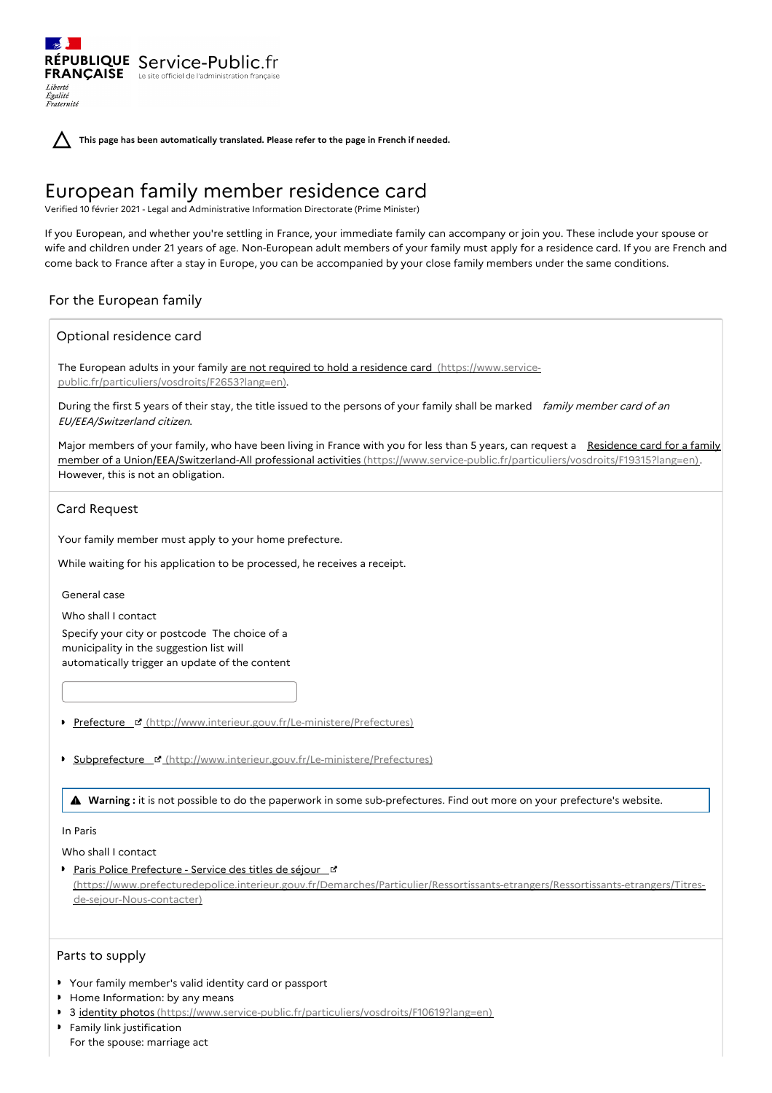RÉPUBLIQUE Service-Public.fr **FRANÇAISE** Le site officiel de l'administration fran Liberté Égalité<br>Fraternité

**This page has been automatically translated. Please refer to the page in French if needed.**

# European family member residence card

Verified 10 février 2021 - Legal and Administrative Information Directorate (Prime Minister)

If you European, and whether you're settling in France, your immediate family can accompany or join you. These include your spouse or wife and children under 21 years of age. Non-European adult members of your family must apply for a residence card. If you are French and come back to France after a stay in Europe, you can be accompanied by your close family members under the same conditions.

## For the European family

#### Optional residence card

The European adults in your family are not required to hold a residence card (https://www.service[public.fr/particuliers/vosdroits/F2653?lang=en\).](https://www.service-public.fr/particuliers/vosdroits/F2653?lang=en)

During the first 5 years of their stay, the title issued to the persons of your family shall be marked family member card of an EU/EEA/Switzerland citizen.

Major members of your family, who have been living in France with you for less than 5 years, can request a Residence card for a family member of a Union/EEA/Switzerland-All professional activities [\(https://www.service-public.fr/particuliers/vosdroits/F19315?lang=en\).](https://www.service-public.fr/particuliers/vosdroits/F19315?lang=en) However, this is not an obligation.

#### Card Request

Your family member must apply to your home prefecture.

While waiting for his application to be processed, he receives a receipt.

General case

Who shall I contact Specify your city or postcode The choice of a municipality in the suggestion list will automatically trigger an update of the content

- Prefecture ¤ [\(http://www.interieur.gouv.fr/Le-ministere/Prefectures\)](http://www.interieur.gouv.fr/Le-ministere/Prefectures)
- **Subprefecture & [\(http://www.interieur.gouv.fr/Le-ministere/Prefectures\)](http://www.interieur.gouv.fr/Le-ministere/Prefectures)**

**Warning :** it is not possible to do the paperwork in some sub-prefectures. Find out more on your prefecture's website.

#### In Paris

Who shall I contact

**Paris Police Prefecture - Service des titles de séjour\_d'** [\(https://www.prefecturedepolice.interieur.gouv.fr/Demarches/Particulier/Ressortissants-etrangers/Ressortissants-etrangers/Titres](https://www.prefecturedepolice.interieur.gouv.fr/Demarches/Particulier/Ressortissants-etrangers/Ressortissants-etrangers/Titres-de-sejour-Nous-contacter)de-sejour-Nous-contacter)

## Parts to supply

- Your family member's valid identity card or passport
- $\mathbf{r}$ Home Information: by any means
- 3 identity photos [\(https://www.service-public.fr/particuliers/vosdroits/F10619?lang=en\)](https://www.service-public.fr/particuliers/vosdroits/F10619?lang=en)
- $\mathbf{r}$ Family link justification For the spouse: marriage act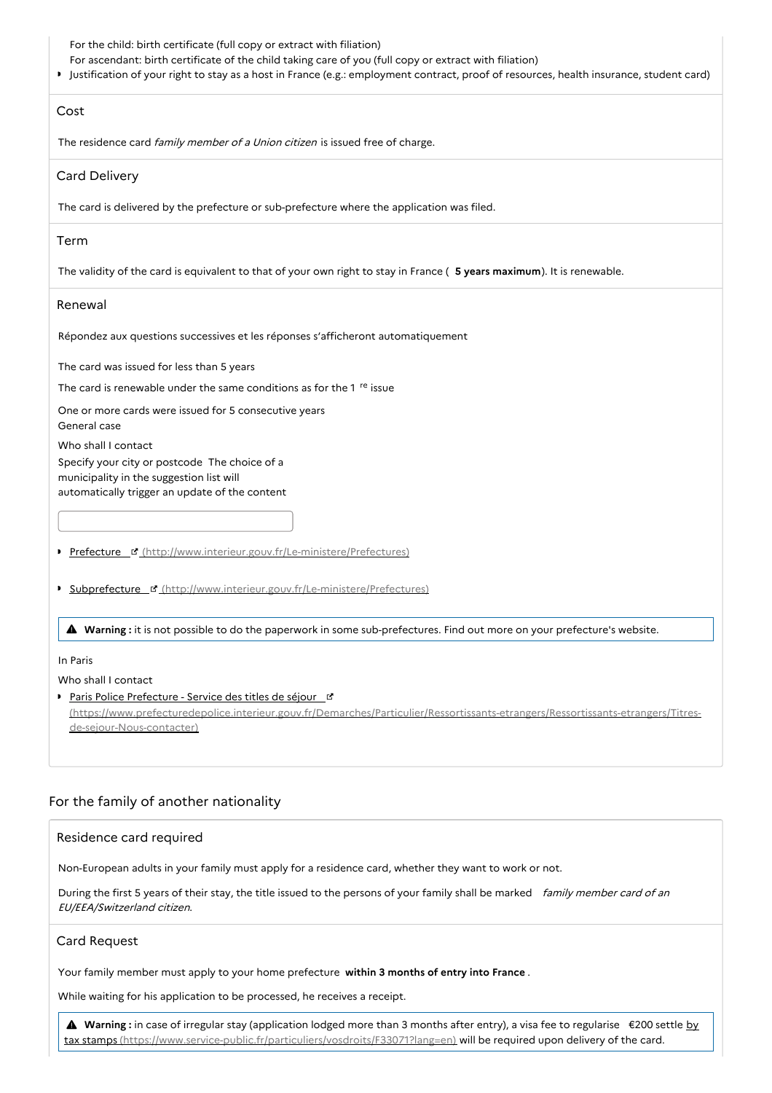For the child: birth certificate (full copy or extract with filiation)

For ascendant: birth certificate of the child taking care of you (full copy or extract with filiation)

Justification of your right to stay as a host in France (e.g.: employment contract, proof of resources, health insurance, student card)

#### Cost

The residence card family member of a Union citizen is issued free of charge.

## Card Delivery

The card is delivered by the prefecture or sub-prefecture where the application was filed.

## Term

The validity of the card is equivalent to that of your own right to stay in France ( **5 years maximum**). It is renewable.

## Renewal

Répondez aux questions successives et les réponses s'afficheront automatiquement

The card was issued for less than 5 years

The card is renewable under the same conditions as for the 1 <sup>re</sup> issue

One or more cards were issued for 5 consecutive years

General case

Who shall I contact

Specify your city or postcode The choice of a municipality in the suggestion list will automatically trigger an update of the content

Prefecture ¤ [\(http://www.interieur.gouv.fr/Le-ministere/Prefectures\)](http://www.interieur.gouv.fr/Le-ministere/Prefectures)

**Subprefecture & [\(http://www.interieur.gouv.fr/Le-ministere/Prefectures\)](http://www.interieur.gouv.fr/Le-ministere/Prefectures)** 

**Warning :** it is not possible to do the paperwork in some sub-prefectures. Find out more on your prefecture's website.

## In Paris

Who shall I contact

Paris Police Prefecture - Service des titles de séjour\_d

[\(https://www.prefecturedepolice.interieur.gouv.fr/Demarches/Particulier/Ressortissants-etrangers/Ressortissants-etrangers/Titres](https://www.prefecturedepolice.interieur.gouv.fr/Demarches/Particulier/Ressortissants-etrangers/Ressortissants-etrangers/Titres-de-sejour-Nous-contacter)de-sejour-Nous-contacter)

# For the family of another nationality

## Residence card required

Non-European adults in your family must apply for a residence card, whether they want to work or not.

During the first 5 years of their stay, the title issued to the persons of your family shall be marked family member card of an EU/EEA/Switzerland citizen.

## Card Request

Your family member must apply to your home prefecture **within 3 months of entry into France** .

While waiting for his application to be processed, he receives a receipt.

**A** Warning : in case of irregular stay (application lodged more than 3 months after entry), a visa fee to regularise €200 settle by tax stamps [\(https://www.service-public.fr/particuliers/vosdroits/F33071?lang=en\)](https://www.service-public.fr/particuliers/vosdroits/F33071?lang=en) will be required upon delivery of the card.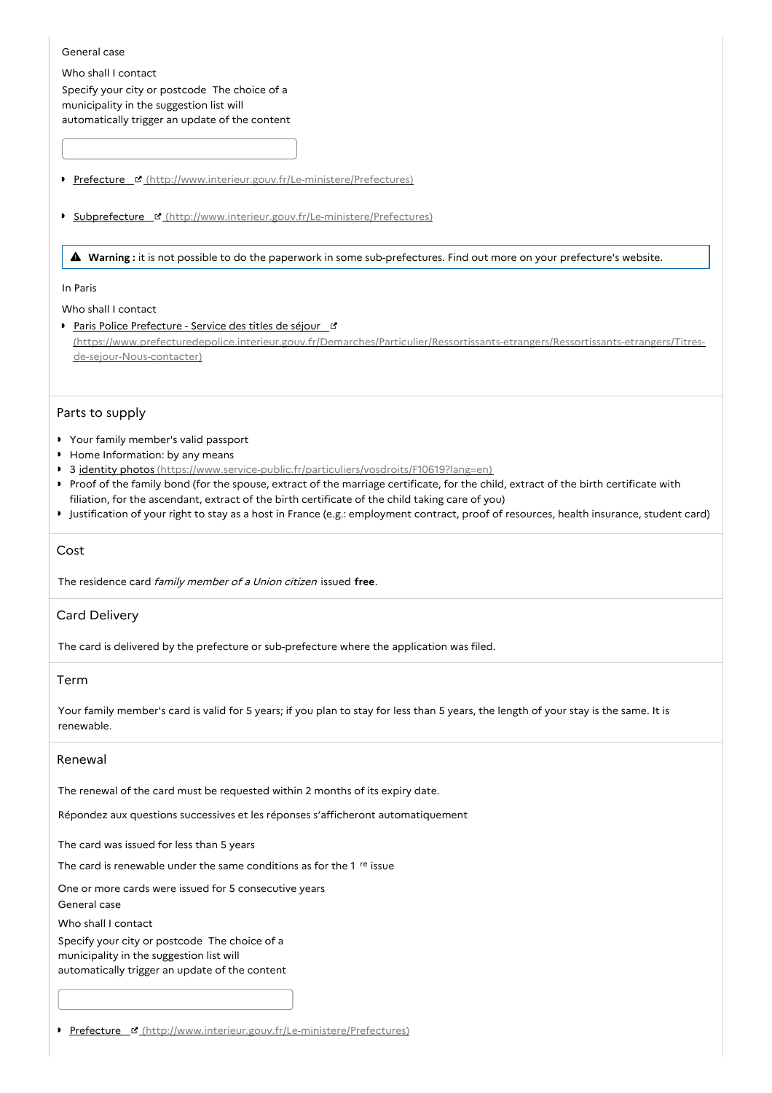#### General case

Who shall I contact Specify your city or postcode The choice of a municipality in the suggestion list will automatically trigger an update of the content

- Prefecture ¤ [\(http://www.interieur.gouv.fr/Le-ministere/Prefectures\)](http://www.interieur.gouv.fr/Le-ministere/Prefectures)
- **Subprefecture & [\(http://www.interieur.gouv.fr/Le-ministere/Prefectures\)](http://www.interieur.gouv.fr/Le-ministere/Prefectures)**

**Warning :** it is not possible to do the paperwork in some sub-prefectures. Find out more on your prefecture's website.

#### In Paris

Who shall I contact

Paris Police Prefecture - Service des titles de séjour\_L [\(https://www.prefecturedepolice.interieur.gouv.fr/Demarches/Particulier/Ressortissants-etrangers/Ressortissants-etrangers/Titres](https://www.prefecturedepolice.interieur.gouv.fr/Demarches/Particulier/Ressortissants-etrangers/Ressortissants-etrangers/Titres-de-sejour-Nous-contacter)de-sejour-Nous-contacter)

## Parts to supply

- Your family member's valid passport
- Home Information: by any means
- 3 identity photos [\(https://www.service-public.fr/particuliers/vosdroits/F10619?lang=en\)](https://www.service-public.fr/particuliers/vosdroits/F10619?lang=en)
- Proof of the family bond (for the spouse, extract of the marriage certificate, for the child, extract of the birth certificate with filiation, for the ascendant, extract of the birth certificate of the child taking care of you)
- Justification of your right to stay as a host in France (e.g.: employment contract, proof of resources, health insurance, student card)

## Cost

The residence card family member of <sup>a</sup> Union citizen issued **free**.

## Card Delivery

The card is delivered by the prefecture or sub-prefecture where the application was filed.

## Term

Your family member's card is valid for 5 years; if you plan to stay for less than 5 years, the length of your stay is the same. It is renewable.

#### Renewal

The renewal of the card must be requested within 2 months of its expiry date.

Répondez aux questions successives et les réponses s'afficheront automatiquement

The card was issued for less than 5 years

The card is renewable under the same conditions as for the 1 <sup>re</sup> issue

One or more cards were issued for 5 consecutive years

General case

Who shall I contact

Specify your city or postcode The choice of a municipality in the suggestion list will automatically trigger an update of the content

Prefecture & [\(http://www.interieur.gouv.fr/Le-ministere/Prefectures\)](http://www.interieur.gouv.fr/Le-ministere/Prefectures)